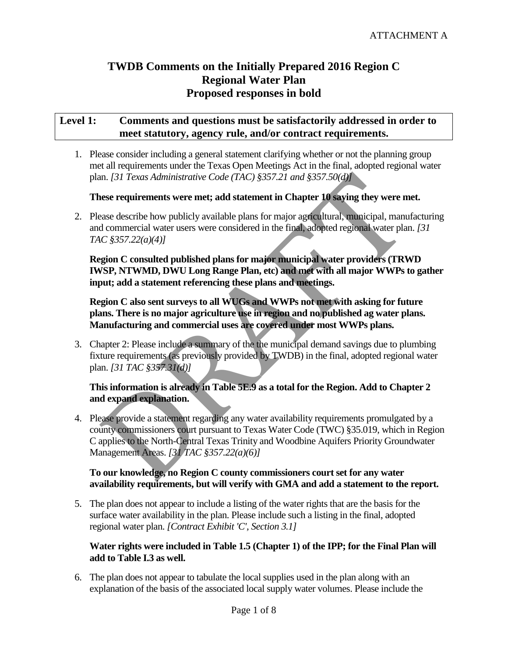# **TWDB Comments on the Initially Prepared 2016 Region C Regional Water Plan Proposed responses in bold**

## **Level 1: Comments and questions must be satisfactorily addressed in order to meet statutory, agency rule, and/or contract requirements.**

1. Please consider including a general statement clarifying whether or not the planning group met all requirements under the Texas Open Meetings Act in the final, adopted regional water plan. *[31 Texas Administrative Code (TAC) §357.21 and §357.50(d)]*

## **These requirements were met; add statement in Chapter 10 saying they were met.**

2. Please describe how publicly available plans for major agricultural, municipal, manufacturing and commercial water users were considered in the final, adopted regional water plan. *[31 TAC §357.22(a)(4)]*

**Region C consulted published plans for major municipal water providers (TRWD IWSP, NTWMD, DWU Long Range Plan, etc) and met with all major WWPs to gather input; add a statement referencing these plans and meetings.** 

**Region C also sent surveys to all WUGs and WWPs not met with asking for future plans. There is no major agriculture use in region and no published ag water plans. Manufacturing and commercial uses are covered under most WWPs plans.** 

3. Chapter 2: Please include a summary of the the municipal demand savings due to plumbing fixture requirements (as previously provided by TWDB) in the final, adopted regional water plan. *[31 TAC §357.31(d)]*

## **This information is already in Table 5E.9 as a total for the Region. Add to Chapter 2 and expand explanation.**

4. Please provide a statement regarding any water availability requirements promulgated by a county commissioners court pursuant to Texas Water Code (TWC) §35.019, which in Region C applies to the North-Central Texas Trinity and Woodbine Aquifers Priority Groundwater Management Areas. *[31 TAC §357.22(a)(6)]* In. [31 Texas Administrative Code (TAC) §357.21 and §357.50(d)<br>
rese requirements were met; add statement in Chapter 10 saying they were m<br>
rese describe how publicly available plans for major agricultural, municipal, man

### **To our knowledge, no Region C county commissioners court set for any water availability requirements, but will verify with GMA and add a statement to the report.**

5. The plan does not appear to include a listing of the water rights that are the basis for the surface water availability in the plan. Please include such a listing in the final, adopted regional water plan. *[Contract Exhibit 'C', Section 3.1]*

### **Water rights were included in Table 1.5 (Chapter 1) of the IPP; for the Final Plan will add to Table I.3 as well.**

6. The plan does not appear to tabulate the local supplies used in the plan along with an explanation of the basis of the associated local supply water volumes. Please include the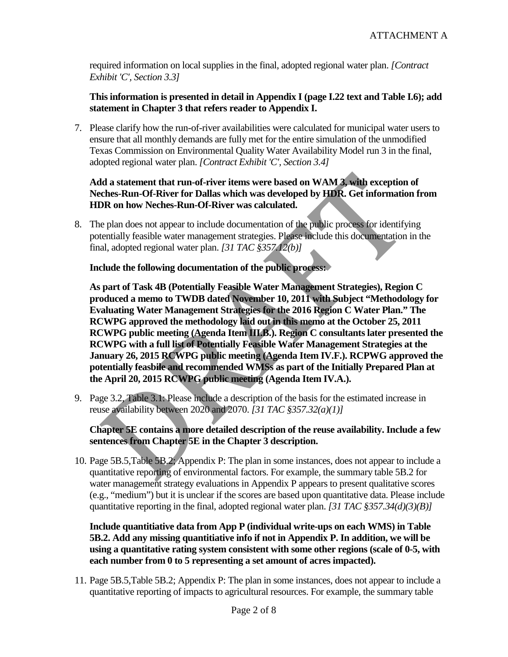required information on local supplies in the final, adopted regional water plan. *[Contract Exhibit 'C', Section 3.3]*

### **This information is presented in detail in Appendix I (page I.22 text and Table I.6); add statement in Chapter 3 that refers reader to Appendix I.**

7. Please clarify how the run-of-river availabilities were calculated for municipal water users to ensure that all monthly demands are fully met for the entire simulation of the unmodified Texas Commission on Environmental Quality Water Availability Model run 3 in the final, adopted regional water plan. *[Contract Exhibit 'C', Section 3.4]*

## **Add a statement that run-of-river items were based on WAM 3, with exception of Neches-Run-Of-River for Dallas which was developed by HDR. Get information from HDR on how Neches-Run-Of-River was calculated.**

8. The plan does not appear to include documentation of the public process for identifying potentially feasible water management strategies. Please include this documentation in the final, adopted regional water plan. *[31 TAC §357.12(b)]*

### **Include the following documentation of the public process:**

**As part of Task 4B (Potentially Feasible Water Management Strategies), Region C produced a memo to TWDB dated November 10, 2011 with Subject "Methodology for Evaluating Water Management Strategies for the 2016 Region C Water Plan." The RCWPG approved the methodology laid out in this memo at the October 25, 2011 RCWPG public meeting (Agenda Item III.B.). Region C consultants later presented the RCWPG with a full list of Potentially Feasible Water Management Strategies at the January 26, 2015 RCWPG public meeting (Agenda Item IV.F.). RCPWG approved the potentially feasbile and recommended WMSs as part of the Initially Prepared Plan at the April 20, 2015 RCWPG public meeting (Agenda Item IV.A.).** Id a statement that run-of-river items were based on WAM 3, with exception<br>ches-Run-Of-River for Dallas which was developed by HDR. Get informatio<br>DR on how Neches-Run-Of-River was calculated.<br>
Equality fraction to includ

9. Page 3.2, Table 3.1: Please include a description of the basis for the estimated increase in reuse availability between 2020 and 2070. *[31 TAC §357.32(a)(1)]*

### **Chapter 5E contains a more detailed description of the reuse availability. Include a few sentences from Chapter 5E in the Chapter 3 description.**

10. Page 5B.5,Table 5B.2; Appendix P: The plan in some instances, does not appear to include a quantitative reporting of environmental factors. For example, the summary table 5B.2 for water management strategy evaluations in Appendix P appears to present qualitative scores (e.g., "medium") but it is unclear if the scores are based upon quantitative data. Please include quantitative reporting in the final, adopted regional water plan. *[31 TAC §357.34(d)(3)(B)]*

**Include quantitiative data from App P (individual write-ups on each WMS) in Table 5B.2. Add any missing quantitiative info if not in Appendix P. In addition, we will be using a quantitative rating system consistent with some other regions (scale of 0-5, with each number from 0 to 5 representing a set amount of acres impacted).** 

11. Page 5B.5,Table 5B.2; Appendix P: The plan in some instances, does not appear to include a quantitative reporting of impacts to agricultural resources. For example, the summary table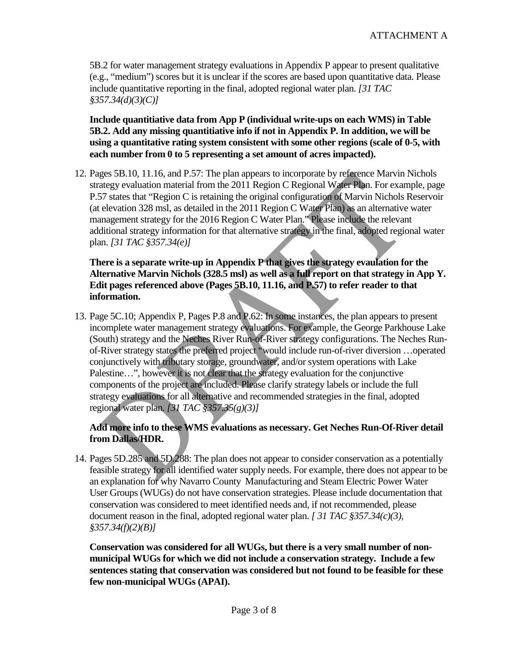5B.2 for water management strategy evaluations in Appendix P appear to present qualitative (e.g., "medium") scores but it is unclear if the scores are based upon quantitative data. Please include quantitative reporting in the final, adopted regional water plan. *[31 TAC §357.34(d)(3)(C)]*

**Include quantitiative data from App P (individual write-ups on each WMS) in Table 5B.2. Add any missing quantitiative info if not in Appendix P. In addition, we will be using a quantitative rating system consistent with some other regions (scale of 0-5, with each number from 0 to 5 representing a set amount of acres impacted).** 

12. Pages 5B.10, 11.16, and P.57: The plan appears to incorporate by reference Marvin Nichols strategy evaluation material from the 2011 Region C Regional Water Plan. For example, page P.57 states that "Region C is retaining the original configuration of Marvin Nichols Reservoir (at elevation 328 msl, as detailed in the 2011 Region C Water Plan) as an alternative water management strategy for the 2016 Region C Water Plan." Please include the relevant additional strategy information for that alternative strategy in the final, adopted regional water plan. *[31 TAC §357.34(e)]*

**There is a separate write-up in Appendix P that gives the strategy evaulation for the Alternative Marvin Nichols (328.5 msl) as well as a full report on that strategy in App Y. Edit pages referenced above (Pages 5B.10, 11.16, and P.57) to refer reader to that information.**

13. Page 5C.10; Appendix P, Pages P.8 and P.62: In some instances, the plan appears to present incomplete water management strategy evaluations. For example, the George Parkhouse Lake (South) strategy and the Neches River Run-of-River strategy configurations. The Neches Runof-River strategy states the preferred project "would include run-of-river diversion …operated conjunctively with tributary storage, groundwater, and/or system operations with Lake Palestine…", however it is not clear that the strategy evaluation for the conjunctive components of the project are included. Please clarify strategy labels or include the full strategy evaluations for all alternative and recommended strategies in the final, adopted regional water plan. *[31 TAC §357.35(g)(3)]* ges 5B.10, 11.16, and P.57: The pian appears to incorporate by reterence Marvin fused<br>ategy evaluation material from the 2011 Region C Regional Water Plan. For example<br>75 states that "Region C is retaining the original con

## **Add more info to these WMS evaluations as necessary. Get Neches Run-Of-River detail from Dallas/HDR.**

14. Pages 5D.285 and 5D.288: The plan does not appear to consider conservation as a potentially feasible strategy for all identified water supply needs. For example, there does not appear to be an explanation for why Navarro County Manufacturing and Steam Electric Power Water User Groups (WUGs) do not have conservation strategies. Please include documentation that conservation was considered to meet identified needs and, if not recommended, please document reason in the final, adopted regional water plan. *[ 31 TAC §357.34(c)(3), §357.34(f)(2)(B)]*

**Conservation was considered for all WUGs, but there is a very small number of nonmunicipal WUGs for which we did not include a conservation strategy. Include a few sentences stating that conservation was considered but not found to be feasible for these few non-municipal WUGs (APAI).**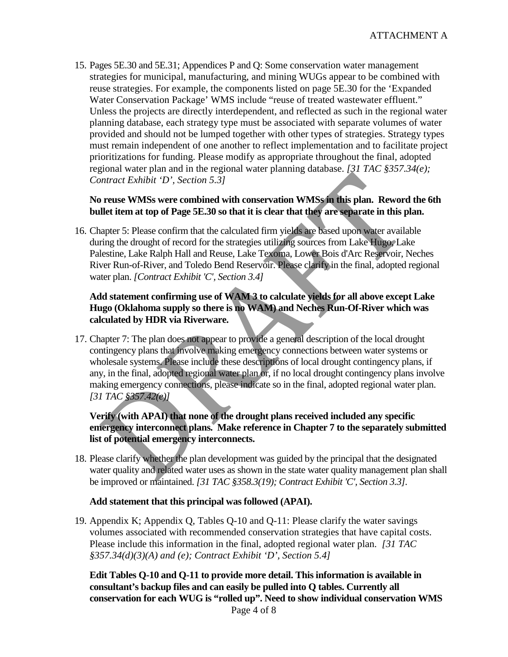15. Pages 5E.30 and 5E.31; Appendices P and Q: Some conservation water management strategies for municipal, manufacturing, and mining WUGs appear to be combined with reuse strategies. For example, the components listed on page 5E.30 for the 'Expanded Water Conservation Package' WMS include "reuse of treated wastewater effluent." Unless the projects are directly interdependent, and reflected as such in the regional water planning database, each strategy type must be associated with separate volumes of water provided and should not be lumped together with other types of strategies. Strategy types must remain independent of one another to reflect implementation and to facilitate project prioritizations for funding. Please modify as appropriate throughout the final, adopted regional water plan and in the regional water planning database. *[31 TAC §357.34(e); Contract Exhibit 'D', Section 5.3]*

### **No reuse WMSs were combined with conservation WMSs in this plan. Reword the 6th bullet item at top of Page 5E.30 so that it is clear that they are separate in this plan.**

16. Chapter 5: Please confirm that the calculated firm yields are based upon water available during the drought of record for the strategies utilizing sources from Lake Hugo, Lake Palestine, Lake Ralph Hall and Reuse, Lake Texoma, Lower Bois d'Arc Reservoir, Neches River Run-of-River, and Toledo Bend Reservoir. Please clarify in the final, adopted regional water plan. *[Contract Exhibit 'C', Section 3.4]*

### **Add statement confirming use of WAM 3 to calculate yields for all above except Lake Hugo (Oklahoma supply so there is no WAM) and Neches Run-Of-River which was calculated by HDR via Riverware.**

17. Chapter 7: The plan does not appear to provide a general description of the local drought contingency plans that involve making emergency connections between water systems or wholesale systems. Please include these descriptions of local drought contingency plans, if any, in the final, adopted regional water plan or, if no local drought contingency plans involve making emergency connections, please indicate so in the final, adopted regional water plan. *[31 TAC §357.42(e)]* Intract Exhibit 'D', Section 5.3]<br>
The reuse WMSs were combined with conservation WMSs in this plan. Reword<br>
Ilet item at top of Page 5E.30 so that it is clear that they are separate in this p<br>
ilet item at top of Page 5E

### **Verify (with APAI) that none of the drought plans received included any specific emergency interconnect plans. Make reference in Chapter 7 to the separately submitted list of potential emergency interconnects.**

18. Please clarify whether the plan development was guided by the principal that the designated water quality and related water uses as shown in the state water quality management plan shall be improved or maintained. *[31 TAC §358.3(19); Contract Exhibit 'C', Section 3.3].*

### **Add statement that this principal was followed (APAI).**

19. Appendix K; Appendix Q, Tables Q-10 and Q-11: Please clarify the water savings volumes associated with recommended conservation strategies that have capital costs. Please include this information in the final, adopted regional water plan. *[31 TAC §357.34(d)(3)(A) and (e); Contract Exhibit 'D', Section 5.4]*

Page 4 of 8 **Edit Tables Q-10 and Q-11 to provide more detail. This information is available in consultant's backup files and can easily be pulled into Q tables. Currently all conservation for each WUG is "rolled up". Need to show individual conservation WMS**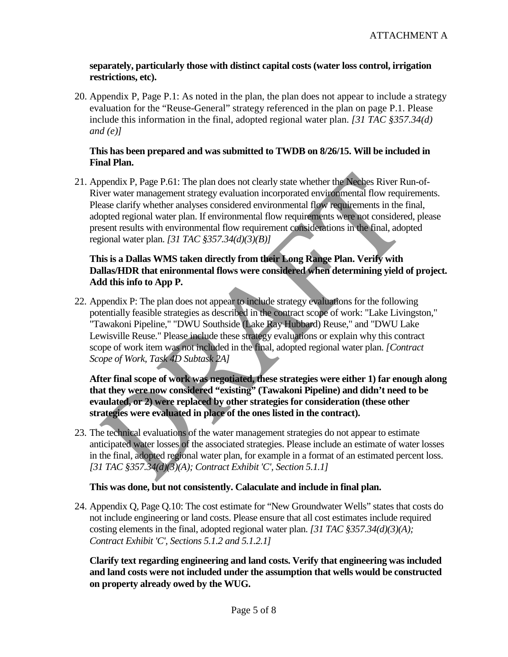#### **separately, particularly those with distinct capital costs (water loss control, irrigation restrictions, etc).**

20. Appendix P, Page P.1: As noted in the plan, the plan does not appear to include a strategy evaluation for the "Reuse-General" strategy referenced in the plan on page P.1. Please include this information in the final, adopted regional water plan. *[31 TAC §357.34(d) and (e)]*

### **This has been prepared and was submitted to TWDB on 8/26/15. Will be included in Final Plan.**

21. Appendix P, Page P.61: The plan does not clearly state whether the Neches River Run-of-River water management strategy evaluation incorporated environmental flow requirements. Please clarify whether analyses considered environmental flow requirements in the final, adopted regional water plan. If environmental flow requirements were not considered, please present results with environmental flow requirement considerations in the final, adopted regional water plan. *[31 TAC §357.34(d)(3)(B)]*

### **This is a Dallas WMS taken directly from their Long Range Plan. Verify with Dallas/HDR that enironmental flows were considered when determining yield of project. Add this info to App P.**

22. Appendix P: The plan does not appear to include strategy evaluations for the following potentially feasible strategies as described in the contract scope of work: "Lake Livingston," "Tawakoni Pipeline," "DWU Southside (Lake Ray Hubbard) Reuse," and "DWU Lake Lewisville Reuse." Please include these strategy evaluations or explain why this contract scope of work item was not included in the final, adopted regional water plan. *[Contract Scope of Work, Task 4D Subtask 2A]* by Pape P.61: The plan does not clearly state whether the Neches River Rue<br>sever water management strategy evaluation incorporated environmental flow require<br>sease clarify whether analyses considered environmental flow re

**After final scope of work was negotiated, these strategies were either 1) far enough along that they were now considered "existing" (Tawakoni Pipeline) and didn't need to be evaulated, or 2) were replaced by other strategies for consideration (these other strategies were evaluated in place of the ones listed in the contract).**

23. The technical evaluations of the water management strategies do not appear to estimate anticipated water losses of the associated strategies. Please include an estimate of water losses in the final, adopted regional water plan, for example in a format of an estimated percent loss. *[31 TAC §357.34(d)(3)(A); Contract Exhibit 'C', Section 5.1.1]*

### **This was done, but not consistently. Calaculate and include in final plan.**

24. Appendix Q, Page Q.10: The cost estimate for "New Groundwater Wells" states that costs do not include engineering or land costs. Please ensure that all cost estimates include required costing elements in the final, adopted regional water plan. *[31 TAC §357.34(d)(3)(A); Contract Exhibit 'C', Sections 5.1.2 and 5.1.2.1]*

**Clarify text regarding engineering and land costs. Verify that engineering was included and land costs were not included under the assumption that wells would be constructed on property already owed by the WUG.**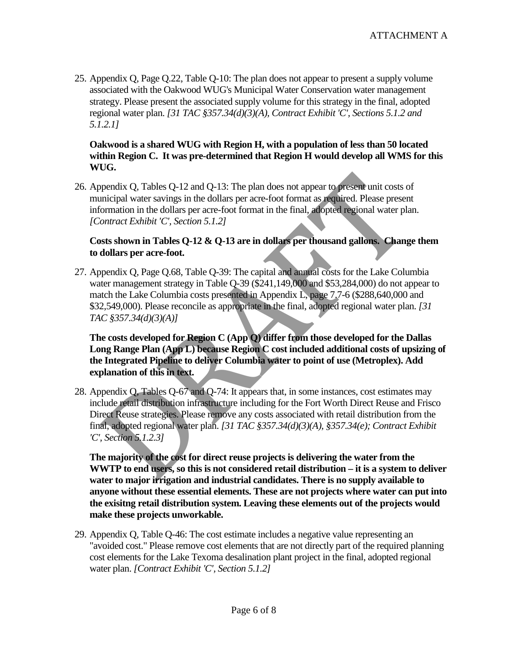25. Appendix Q, Page Q.22, Table Q-10: The plan does not appear to present a supply volume associated with the Oakwood WUG's Municipal Water Conservation water management strategy. Please present the associated supply volume for this strategy in the final, adopted regional water plan. *[31 TAC §357.34(d)(3)(A), Contract Exhibit 'C', Sections 5.1.2 and 5.1.2.1]*

#### **Oakwood is a shared WUG with Region H, with a population of less than 50 located within Region C. It was pre-determined that Region H would develop all WMS for this WUG.**

26. Appendix Q, Tables Q-12 and Q-13: The plan does not appear to present unit costs of municipal water savings in the dollars per acre-foot format as required. Please present information in the dollars per acre-foot format in the final, adopted regional water plan. *[Contract Exhibit 'C', Section 5.1.2]*

### **Costs shown in Tables Q-12 & Q-13 are in dollars per thousand gallons. Change them to dollars per acre-foot.**

27. Appendix Q, Page Q.68, Table Q-39: The capital and annual costs for the Lake Columbia water management strategy in Table Q-39 (\$241,149,000 and \$53,284,000) do not appear to match the Lake Columbia costs presented in Appendix L, page 7.7-6 (\$288,640,000 and \$32,549,000). Please reconcile as appropriate in the final, adopted regional water plan. *[31 TAC §357.34(d)(3)(A)]* ppendix Q, Tables Q-12 and Q-13: The plan does not appear to present unit costs on<br>inicipal water savings in the dollars per acre-foot format as required. Please present<br>formation in the dollars per acre-foot format in th

**The costs developed for Region C (App Q) differ from those developed for the Dallas Long Range Plan (App L) because Region C cost included additional costs of upsizing of the Integrated Pipeline to deliver Columbia water to point of use (Metroplex). Add explanation of this in text.**

28. Appendix Q, Tables Q-67 and Q-74: It appears that, in some instances, cost estimates may include retail distribution infrastructure including for the Fort Worth Direct Reuse and Frisco Direct Reuse strategies. Please remove any costs associated with retail distribution from the final, adopted regional water plan. *[31 TAC §357.34(d)(3)(A), §357.34(e); Contract Exhibit 'C', Section 5.1.2.3]*

**The majority of the cost for direct reuse projects is delivering the water from the WWTP to end users, so this is not considered retail distribution – it is a system to deliver water to major irrigation and industrial candidates. There is no supply available to anyone without these essential elements. These are not projects where water can put into the exisitng retail distribution system. Leaving these elements out of the projects would make these projects unworkable.**

29. Appendix Q, Table Q-46: The cost estimate includes a negative value representing an "avoided cost." Please remove cost elements that are not directly part of the required planning cost elements for the Lake Texoma desalination plant project in the final, adopted regional water plan. *[Contract Exhibit 'C', Section 5.1.2]*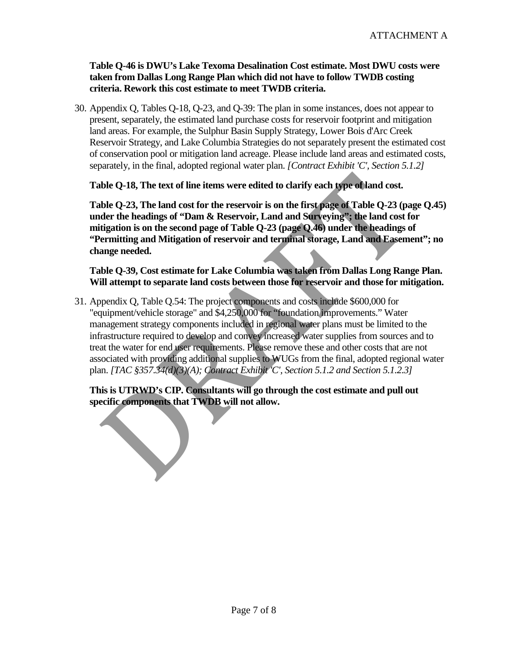### **Table Q-46 is DWU's Lake Texoma Desalination Cost estimate. Most DWU costs were taken from Dallas Long Range Plan which did not have to follow TWDB costing criteria. Rework this cost estimate to meet TWDB criteria.**

30. Appendix Q, Tables Q-18, Q-23, and Q-39: The plan in some instances, does not appear to present, separately, the estimated land purchase costs for reservoir footprint and mitigation land areas. For example, the Sulphur Basin Supply Strategy, Lower Bois d'Arc Creek Reservoir Strategy, and Lake Columbia Strategies do not separately present the estimated cost of conservation pool or mitigation land acreage. Please include land areas and estimated costs, separately, in the final, adopted regional water plan. *[Contract Exhibit 'C', Section 5.1.2]*

**Table Q-18, The text of line items were edited to clarify each type of land cost.** 

**Table Q-23, The land cost for the reservoir is on the first page of Table Q-23 (page Q.45) under the headings of "Dam & Reservoir, Land and Surveying"; the land cost for mitigation is on the second page of Table Q-23 (page Q.46) under the headings of "Permitting and Mitigation of reservoir and terminal storage, Land and Easement"; no change needed.**

**Table Q-39, Cost estimate for Lake Columbia was taken from Dallas Long Range Plan. Will attempt to separate land costs between those for reservoir and those for mitigation.**

31. Appendix Q, Table Q.54: The project components and costs include \$600,000 for "equipment/vehicle storage" and \$4,250,000 for "foundation improvements." Water management strategy components included in regional water plans must be limited to the infrastructure required to develop and convey increased water supplies from sources and to treat the water for end user requirements. Please remove these and other costs that are not associated with providing additional supplies to WUGs from the final, adopted regional water plan. *[TAC §357.34(d)(3)(A); Contract Exhibit 'C', Section 5.1.2 and Section 5.1.2.3]* ble Q-18, The text of line items were edited to clarify each type of land cost.<br>ble Q-23, The land cost for the reservoir is on the first page of Table Q-23 (pader the headings of "Dam & Reservoir, Land and Surveying"; the

**This is UTRWD's CIP. Consultants will go through the cost estimate and pull out specific components that TWDB will not allow.**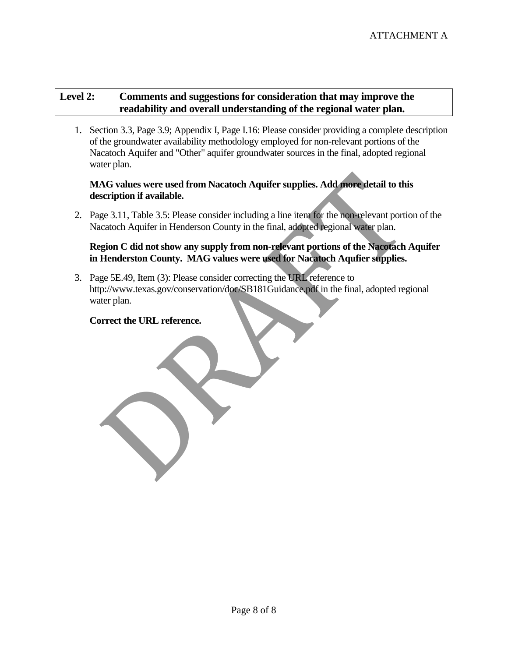## **Level 2: Comments and suggestions for consideration that may improve the readability and overall understanding of the regional water plan.**

1. Section 3.3, Page 3.9; Appendix I, Page I.16: Please consider providing a complete description of the groundwater availability methodology employed for non-relevant portions of the Nacatoch Aquifer and "Other" aquifer groundwater sources in the final, adopted regional water plan.

## **MAG values were used from Nacatoch Aquifer supplies. Add more detail to this description if available.**

2. Page 3.11, Table 3.5: Please consider including a line item for the non-relevant portion of the Nacatoch Aquifer in Henderson County in the final, adopted regional water plan.

### **Region C did not show any supply from non-relevant portions of the Nacotach Aquifer in Henderston County. MAG values were used for Nacatoch Aqufier supplies.**

3. Page 5E.49, Item (3): Please consider correcting the URL reference to http://www.texas.gov/conservation/doc/SB181Guidance.pdf in the final, adopted regional water plan. AG values were used from Nacatoch Aquifer supplies. Add more detail to this scription if available.<br>
ge 3.11, Table 3.5: Please consider including a line item for the non-relevant porticatoch Aquifer in Henderson County in

## **Correct the URL reference.**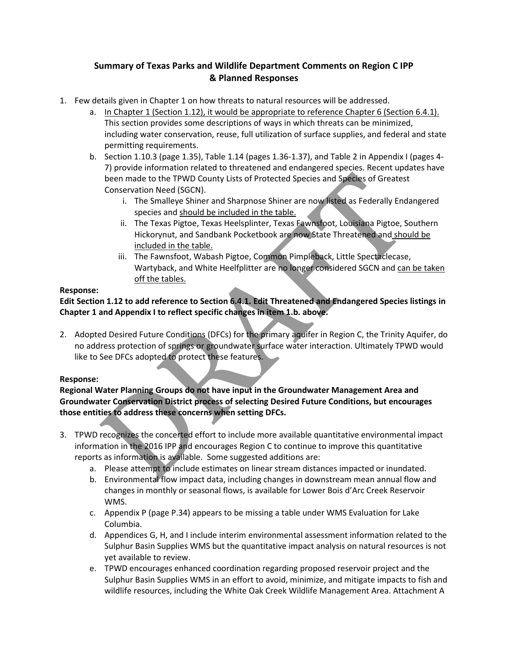### **Summary of Texas Parks and Wildlife Department Comments on Region C IPP & Planned Responses**

- 1. Few details given in Chapter 1 on how threats to natural resources will be addressed.
	- a. In Chapter 1 (Section 1.12), it would be appropriate to reference Chapter 6 (Section 6.4.1). This section provides some descriptions of ways in which threats can be minimized, including water conservation, reuse, full utilization of surface supplies, and federal and state permitting requirements.
	- b. Section 1.10.3 (page 1.35), Table 1.14 (pages 1.36-1.37), and Table 2 in Appendix I (pages 4- 7) provide information related to threatened and endangered species. Recent updates have been made to the TPWD County Lists of Protected Species and Species of Greatest Conservation Need (SGCN).
		- i. The Smalleye Shiner and Sharpnose Shiner are now listed as Federally Endangered species and should be included in the table.
		- ii. The Texas Pigtoe, Texas Heelsplinter, Texas Fawnsfoot, Louisiana Pigtoe, Southern Hickorynut, and Sandbank Pocketbook are now State Threatened and should be included in the table.
		- iii. The Fawnsfoot, Wabash Pigtoe, Common Pimpleback, Little Spectaclecase, Wartyback, and White Heelfplitter are no longer considered SGCN and can be taken off the tables.

### **Response:**

### **Edit Section 1.12 to add reference to Section 6.4.1. Edit Threatened and Endangered Species listings in Chapter 1 and Appendix I to reflect specific changes in item 1.b. above.**

2. Adopted Desired Future Conditions (DFCs) for the primary aquifer in Region C, the Trinity Aquifer, do no address protection of springs or groundwater surface water interaction. Ultimately TPWD would like to See DFCs adopted to protect these features. been made to the TPWD County Lists of Protected Species and Species of Greatest<br>
Conservation Need (SGCN).<br>
i. The Smalleye Shiner and Sharpnose Shiner are now listed as Federally End:<br>
i. The Smalleye Shiner and Sharpnose

#### **Response:**

**Regional Water Planning Groups do not have input in the Groundwater Management Area and Groundwater Conservation District process of selecting Desired Future Conditions, but encourages those entities to address these concerns when setting DFCs.**

- 3. TPWD recognizes the concerted effort to include more available quantitative environmental impact information in the 2016 IPP and encourages Region C to continue to improve this quantitative reports as information is available. Some suggested additions are:
	- a. Please attempt to include estimates on linear stream distances impacted or inundated.
	- b. Environmental flow impact data, including changes in downstream mean annual flow and changes in monthly or seasonal flows, is available for Lower Bois d'Arc Creek Reservoir WMS.
	- c. Appendix P (page P.34) appears to be missing a table under WMS Evaluation for Lake Columbia.
	- d. Appendices G, H, and I include interim environmental assessment information related to the Sulphur Basin Supplies WMS but the quantitative impact analysis on natural resources is not yet available to review.
	- e. TPWD encourages enhanced coordination regarding proposed reservoir project and the Sulphur Basin Supplies WMS in an effort to avoid, minimize, and mitigate impacts to fish and wildlife resources, including the White Oak Creek Wildlife Management Area. Attachment A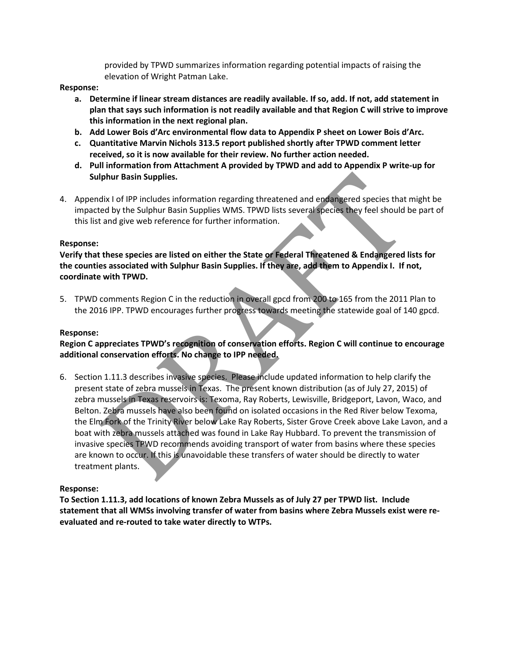provided by TPWD summarizes information regarding potential impacts of raising the elevation of Wright Patman Lake.

#### **Response:**

- **a. Determine if linear stream distances are readily available. If so, add. If not, add statement in plan that says such information is not readily available and that Region C will strive to improve this information in the next regional plan.**
- **b. Add Lower Bois d'Arc environmental flow data to Appendix P sheet on Lower Bois d'Arc.**
- **c. Quantitative Marvin Nichols 313.5 report published shortly after TPWD comment letter received, so it is now available for their review. No further action needed.**
- **d. Pull information from Attachment A provided by TPWD and add to Appendix P write-up for Sulphur Basin Supplies.**
- 4. Appendix I of IPP includes information regarding threatened and endangered species that might be impacted by the Sulphur Basin Supplies WMS. TPWD lists several species they feel should be part of this list and give web reference for further information.

#### **Response:**

**Verify that these species are listed on either the State or Federal Threatened & Endangered lists for the counties associated with Sulphur Basin Supplies. If they are, add them to Appendix I. If not, coordinate with TPWD.**

5. TPWD comments Region C in the reduction in overall gpcd from 200 to 165 from the 2011 Plan to the 2016 IPP. TPWD encourages further progress towards meeting the statewide goal of 140 gpcd.

#### **Response:**

**Region C appreciates TPWD's recognition of conservation efforts. Region C will continue to encourage additional conservation efforts. No change to IPP needed.**

6. Section 1.11.3 describes invasive species. Please include updated information to help clarify the present state of zebra mussels in Texas. The present known distribution (as of July 27, 2015) of zebra mussels in Texas reservoirs is: Texoma, Ray Roberts, Lewisville, Bridgeport, Lavon, Waco, and Belton. Zebra mussels have also been found on isolated occasions in the Red River below Texoma, the Elm Fork of the Trinity River below Lake Ray Roberts, Sister Grove Creek above Lake Lavon, and a boat with zebra mussels attached was found in Lake Ray Hubbard. To prevent the transmission of invasive species TPWD recommends avoiding transport of water from basins where these species are known to occur. If this is unavoidable these transfers of water should be directly to water treatment plants. Ibluir Basin Supplies.<br>
dix I of IPP includes information regarding threatened and endeangered species that<br>
ed by the Sulphur Basin Supplies WMS. TPWD lists several species they feel should t<br>
and give web reference for f

#### **Response:**

**To Section 1.11.3, add locations of known Zebra Mussels as of July 27 per TPWD list. Include statement that all WMSs involving transfer of water from basins where Zebra Mussels exist were reevaluated and re-routed to take water directly to WTPs.**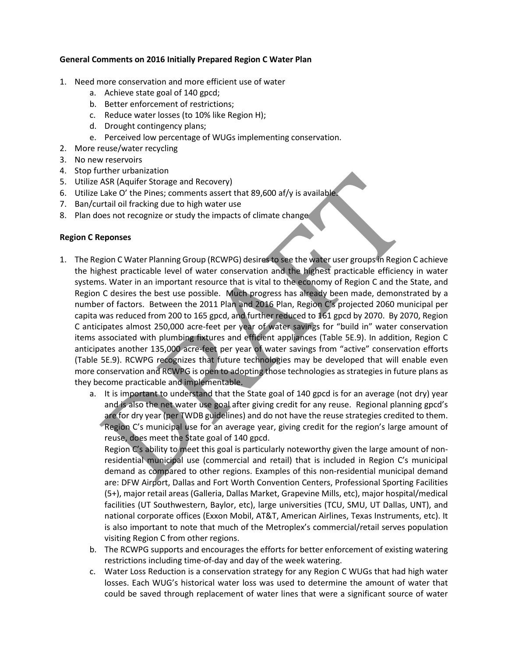#### **General Comments on 2016 Initially Prepared Region C Water Plan**

- 1. Need more conservation and more efficient use of water
	- a. Achieve state goal of 140 gpcd;
	- b. Better enforcement of restrictions;
	- c. Reduce water losses (to 10% like Region H);
	- d. Drought contingency plans;
	- e. Perceived low percentage of WUGs implementing conservation.
- 2. More reuse/water recycling
- 3. No new reservoirs
- 4. Stop further urbanization
- 5. Utilize ASR (Aquifer Storage and Recovery)
- 6. Utilize Lake O' the Pines; comments assert that 89,600 af/y is available.
- 7. Ban/curtail oil fracking due to high water use
- 8. Plan does not recognize or study the impacts of climate change

#### **Region C Reponses**

- 1. The Region C Water Planning Group (RCWPG) desires to see the water user groups in Region C achieve the highest practicable level of water conservation and the highest practicable efficiency in water systems. Water in an important resource that is vital to the economy of Region C and the State, and Region C desires the best use possible. Much progress has already been made, demonstrated by a number of factors. Between the 2011 Plan and 2016 Plan, Region C's projected 2060 municipal per capita was reduced from 200 to 165 gpcd, and further reduced to 161 gpcd by 2070. By 2070, Region C anticipates almost 250,000 acre-feet per year of water savings for "build in" water conservation items associated with plumbing fixtures and efficient appliances (Table 5E.9). In addition, Region C anticipates another 135,000 acre-feet per year of water savings from "active" conservation efforts (Table 5E.9). RCWPG recognizes that future technologies may be developed that will enable even more conservation and RCWPG is open to adopting those technologies as strategies in future plans as they become practicable and implementable. In the unionination<br>ASR (Aquifer Storage and Recovery)<br>Lake O' the Pines; comments assert that 89,600 af/y is available<br>that of the Pines; comments assert that 89,600 af/y is available<br>rest once text production of the pine
	- a. It is important to understand that the State goal of 140 gpcd is for an average (not dry) year and is also the net water use goal after giving credit for any reuse. Regional planning gpcd's are for dry year (per TWDB guidelines) and do not have the reuse strategies credited to them. Region C's municipal use for an average year, giving credit for the region's large amount of reuse, does meet the State goal of 140 gpcd.

Region C's ability to meet this goal is particularly noteworthy given the large amount of nonresidential municipal use (commercial and retail) that is included in Region C's municipal demand as compared to other regions. Examples of this non-residential municipal demand are: DFW Airport, Dallas and Fort Worth Convention Centers, Professional Sporting Facilities (5+), major retail areas (Galleria, Dallas Market, Grapevine Mills, etc), major hospital/medical facilities (UT Southwestern, Baylor, etc), large universities (TCU, SMU, UT Dallas, UNT), and national corporate offices (Exxon Mobil, AT&T, American Airlines, Texas Instruments, etc). It is also important to note that much of the Metroplex's commercial/retail serves population visiting Region C from other regions.

- b. The RCWPG supports and encourages the efforts for better enforcement of existing watering restrictions including time-of-day and day of the week watering.
- c. Water Loss Reduction is a conservation strategy for any Region C WUGs that had high water losses. Each WUG's historical water loss was used to determine the amount of water that could be saved through replacement of water lines that were a significant source of water